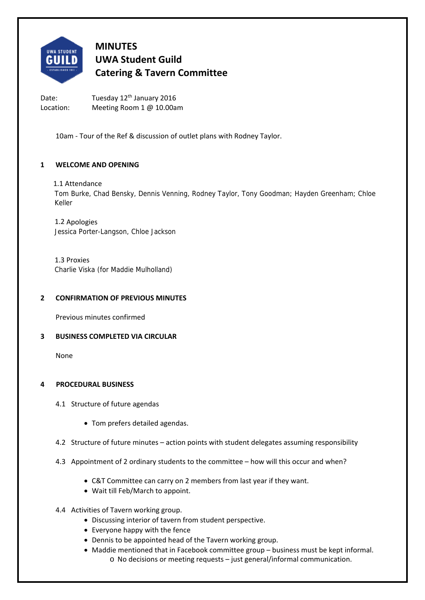

# **MINUTES UWA Student Guild Catering & Tavern Committee**

Date: Tuesday 12<sup>th</sup> January 2016 Location: Meeting Room 1 @ 10.00am

10am ‐ Tour of the Ref & discussion of outlet plans with Rodney Taylor.

# **1 WELCOME AND OPENING**

# 1.1 Attendance

Tom Burke, Chad Bensky, Dennis Venning, Rodney Taylor, Tony Goodman; Hayden Greenham; Chloe Keller

1.2 Apologies Jessica Porter-Langson, Chloe Jackson

1.3 Proxies Charlie Viska (for Maddie Mulholland)

# **2 CONFIRMATION OF PREVIOUS MINUTES**

Previous minutes confirmed

# **3 BUSINESS COMPLETED VIA CIRCULAR**

None

# **4 PROCEDURAL BUSINESS**

- 4.1 Structure of future agendas
	- Tom prefers detailed agendas.
- 4.2 Structure of future minutes action points with student delegates assuming responsibility
- 4.3 Appointment of 2 ordinary students to the committee how will this occur and when?
	- C&T Committee can carry on 2 members from last year if they want.
	- Wait till Feb/March to appoint.
- 4.4 Activities of Tavern working group.
	- Discussing interior of tavern from student perspective.
	- Everyone happy with the fence
	- Dennis to be appointed head of the Tavern working group.
	- Maddie mentioned that in Facebook committee group business must be kept informal. o No decisions or meeting requests – just general/informal communication.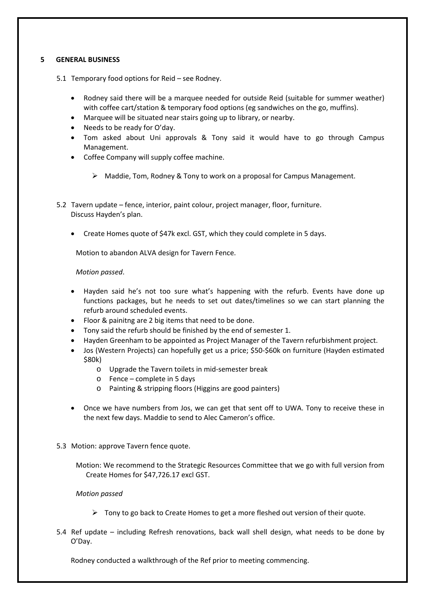# **5 GENERAL BUSINESS**

- 5.1 Temporary food options for Reid see Rodney.
	- Rodney said there will be a marquee needed for outside Reid (suitable for summer weather) with coffee cart/station & temporary food options (eg sandwiches on the go, muffins).
	- Marquee will be situated near stairs going up to library, or nearby.
	- Needs to be ready for O'day.
	- Tom asked about Uni approvals & Tony said it would have to go through Campus Management.
	- Coffee Company will supply coffee machine.
		- $\triangleright$  Maddie, Tom, Rodney & Tony to work on a proposal for Campus Management.
- 5.2 Tavern update fence, interior, paint colour, project manager, floor, furniture. Discuss Hayden's plan.
	- Create Homes quote of \$47k excl. GST, which they could complete in 5 days.

Motion to abandon ALVA design for Tavern Fence.

# *Motion passed*.

- Hayden said he's not too sure what's happening with the refurb. Events have done up functions packages, but he needs to set out dates/timelines so we can start planning the refurb around scheduled events.
- Floor & painitng are 2 big items that need to be done.
- Tony said the refurb should be finished by the end of semester 1.
- Hayden Greenham to be appointed as Project Manager of the Tavern refurbishment project.
- Jos (Western Projects) can hopefully get us a price; \$50‐\$60k on furniture (Hayden estimated \$80k)
	- o Upgrade the Tavern toilets in mid‐semester break
	- o Fence complete in 5 days
	- o Painting & stripping floors (Higgins are good painters)
- Once we have numbers from Jos, we can get that sent off to UWA. Tony to receive these in the next few days. Maddie to send to Alec Cameron's office.
- 5.3 Motion: approve Tavern fence quote.

Motion: We recommend to the Strategic Resources Committee that we go with full version from Create Homes for \$47,726.17 excl GST.

# *Motion passed*

- $\triangleright$  Tony to go back to Create Homes to get a more fleshed out version of their quote.
- 5.4 Ref update including Refresh renovations, back wall shell design, what needs to be done by O'Day.

Rodney conducted a walkthrough of the Ref prior to meeting commencing.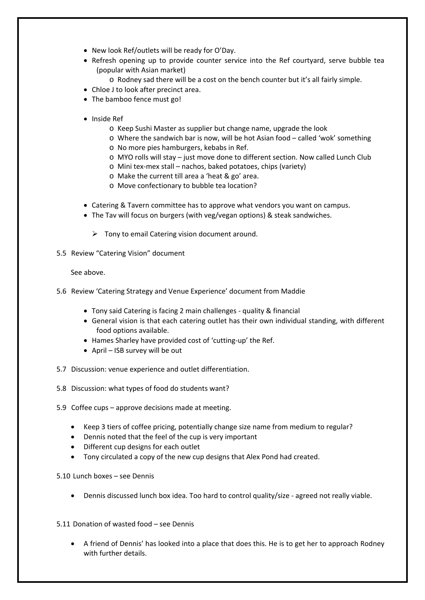- New look Ref/outlets will be ready for O'Day.
- Refresh opening up to provide counter service into the Ref courtyard, serve bubble tea (popular with Asian market)
	- o Rodney sad there will be a cost on the bench counter but it's all fairly simple.
- Chloe J to look after precinct area.
- The bamboo fence must go!
- Inside Ref
	- o Keep Sushi Master as supplier but change name, upgrade the look
	- o Where the sandwich bar is now, will be hot Asian food called 'wok' something
	- o No more pies hamburgers, kebabs in Ref.
	- o MYO rolls will stay just move done to different section. Now called Lunch Club
	- o Mini tex‐mex stall nachos, baked potatoes, chips (variety)
	- o Make the current till area a 'heat & go' area.
	- o Move confectionary to bubble tea location?
- Catering & Tavern committee has to approve what vendors you want on campus.
- The Tav will focus on burgers (with veg/vegan options) & steak sandwiches.
	- $\triangleright$  Tony to email Catering vision document around.
- 5.5 Review "Catering Vision" document

See above.

- 5.6 Review 'Catering Strategy and Venue Experience' document from Maddie
	- Tony said Catering is facing 2 main challenges quality & financial
	- General vision is that each catering outlet has their own individual standing, with different food options available.
	- Hames Sharley have provided cost of 'cutting‐up' the Ref.
	- April ISB survey will be out
- 5.7 Discussion: venue experience and outlet differentiation.
- 5.8 Discussion: what types of food do students want?
- 5.9 Coffee cups approve decisions made at meeting.
	- Keep 3 tiers of coffee pricing, potentially change size name from medium to regular?
	- Dennis noted that the feel of the cup is very important
	- Different cup designs for each outlet
	- Tony circulated a copy of the new cup designs that Alex Pond had created.
- 5.10 Lunch boxes see Dennis
	- Dennis discussed lunch box idea. Too hard to control quality/size agreed not really viable.
- 5.11 Donation of wasted food see Dennis
	- A friend of Dennis' has looked into a place that does this. He is to get her to approach Rodney with further details.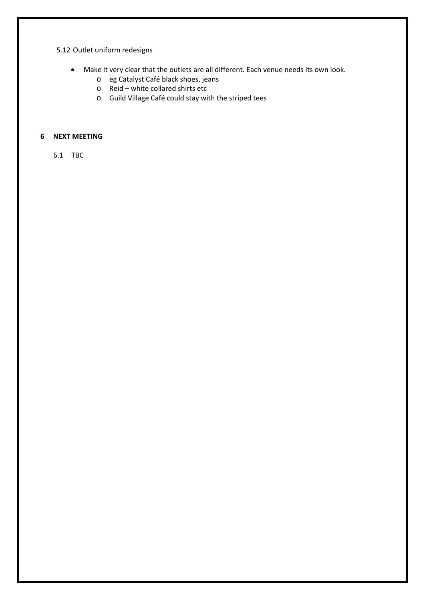# 5.12 Outlet uniform redesigns

- Make it very clear that the outlets are all different. Each venue needs its own look.
	- o eg Catalyst Café black shoes, jeans
	- o Reid white collared shirts etc
	- o Guild Village Café could stay with the striped tees

# **6 NEXT MEETING**

6.1 TBC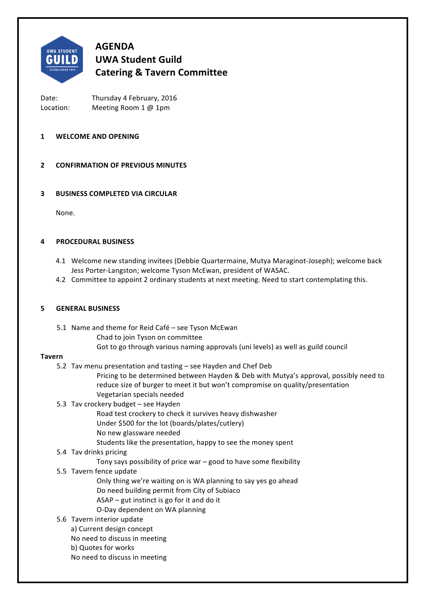

# **AGENDA UWA Student Guild Catering & Tavern Committee**

Date: Thursday 4 February, 2016 Location: Meeting Room 1 @ 1pm

# **1 WELCOME AND OPENING**

# **2 CONFIRMATION OF PREVIOUS MINUTES**

# **3 BUSINESS COMPLETED VIA CIRCULAR**

None.

# **4 PROCEDURAL BUSINESS**

- 4.1 Welcome new standing invitees (Debbie Quartermaine, Mutya Maraginot-Joseph); welcome back Jess Porter-Langston; welcome Tyson McEwan, president of WASAC.
- 4.2 Committee to appoint 2 ordinary students at next meeting. Need to start contemplating this.

# **5 GENERAL BUSINESS**

- 5.1 Name and theme for Reid Café see Tyson McEwan
	- Chad to join Tyson on committee
	- Got to go through various naming approvals (uni levels) as well as guild council

# **Tavern**

- 5.2 Tav menu presentation and tasting see Hayden and Chef Deb
	- Pricing to be determined between Hayden & Deb with Mutya's approval, possibly need to reduce size of burger to meet it but won't compromise on quality/presentation Vegetarian specials needed
- 5.3 Tav crockery budget see Hayden
	- Road test crockery to check it survives heavy dishwasher
	- Under \$500 for the lot (boards/plates/cutlery)
	- No new glassware needed
	- Students like the presentation, happy to see the money spent
- 5.4 Tav drinks pricing
	- Tony says possibility of price war  $-$  good to have some flexibility
- 5.5 Tavern fence update
	- Only thing we're waiting on is WA planning to say yes go ahead Do need building permit from City of Subiaco
	- $ASAP gut$  instinct is go for it and do it
	- O-Day dependent on WA planning
- 5.6 Tavern interior update
	- a) Current design concept
	- No need to discuss in meeting
	- b) Quotes for works
	- No need to discuss in meeting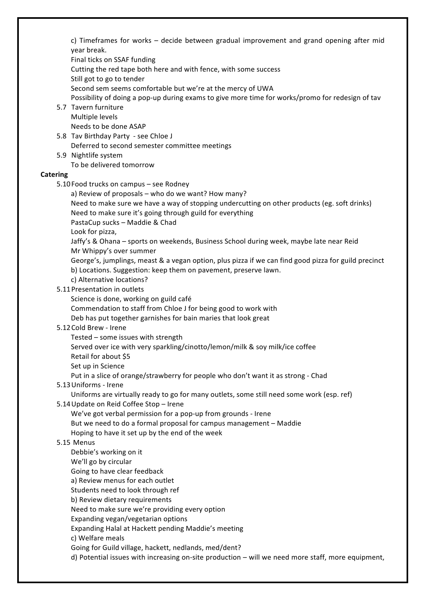c) Timeframes for works – decide between gradual improvement and grand opening after mid year break.

Final ticks on SSAF funding

Cutting the red tape both here and with fence, with some success

Still got to go to tender

Second sem seems comfortable but we're at the mercy of UWA

Possibility of doing a pop-up during exams to give more time for works/promo for redesign of tav

- 5.7 Tavern furniture Multiple levels Needs to be done ASAP
- 5.8 Tav Birthday Party see Chloe J Deferred to second semester committee meetings
- 5.9 Nightlife system To be delivered tomorrow

# **Catering**

- 5.10 Food trucks on campus see Rodney
	- a) Review of proposals who do we want? How many?
	- Need to make sure we have a way of stopping undercutting on other products (eg. soft drinks) Need to make sure it's going through guild for everything

PastaCup sucks - Maddie & Chad

Look for pizza.

Jaffy's & Ohana - sports on weekends, Business School during week, maybe late near Reid Mr Whippy's over summer

George's, jumplings, meast & a vegan option, plus pizza if we can find good pizza for guild precinct b) Locations. Suggestion: keep them on pavement, preserve lawn.

c) Alternative locations?

# 5.11 Presentation in outlets

Science is done, working on guild café

- Commendation to staff from Chloe J for being good to work with
- Deb has put together garnishes for bain maries that look great

# 5.12 Cold Brew - Irene

Tested  $-$  some issues with strength

Served over ice with very sparkling/cinotto/lemon/milk & soy milk/ice coffee

- Retail for about \$5
- Set up in Science

Put in a slice of orange/strawberry for people who don't want it as strong - Chad

# 5.13 Uniforms - Irene

Uniforms are virtually ready to go for many outlets, some still need some work (esp. ref)

5.14 Update on Reid Coffee Stop - Irene

We've got verbal permission for a pop-up from grounds - Irene But we need to do a formal proposal for campus management - Maddie Hoping to have it set up by the end of the week

# 5.15 Menus

Debbie's working on it

We'll go by circular

Going to have clear feedback

a) Review menus for each outlet

Students need to look through ref

b) Review dietary requirements

Need to make sure we're providing every option

Expanding vegan/vegetarian options

Expanding Halal at Hackett pending Maddie's meeting

c) Welfare meals

Going for Guild village, hackett, nedlands, med/dent?

d) Potential issues with increasing on-site production – will we need more staff, more equipment,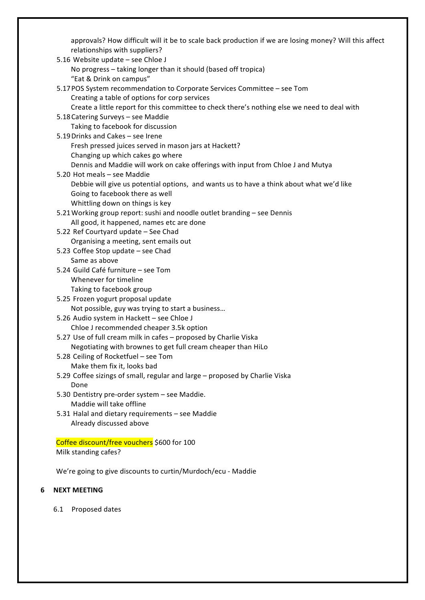| approvals? How difficult will it be to scale back production if we are losing money? Will this affect<br>relationships with suppliers?        |  |
|-----------------------------------------------------------------------------------------------------------------------------------------------|--|
| 5.16 Website update - see Chloe J                                                                                                             |  |
| No progress - taking longer than it should (based off tropica)                                                                                |  |
| "Eat & Drink on campus"                                                                                                                       |  |
|                                                                                                                                               |  |
| 5.17 POS System recommendation to Corporate Services Committee - see Tom                                                                      |  |
| Creating a table of options for corp services<br>Create a little report for this committee to check there's nothing else we need to deal with |  |
| 5.18 Catering Surveys - see Maddie                                                                                                            |  |
| Taking to facebook for discussion                                                                                                             |  |
| 5.19 Drinks and Cakes - see Irene                                                                                                             |  |
| Fresh pressed juices served in mason jars at Hackett?                                                                                         |  |
|                                                                                                                                               |  |
| Changing up which cakes go where<br>Dennis and Maddie will work on cake offerings with input from Chloe J and Mutya                           |  |
| 5.20 Hot meals - see Maddie                                                                                                                   |  |
| Debbie will give us potential options, and wants us to have a think about what we'd like                                                      |  |
| Going to facebook there as well                                                                                                               |  |
| Whittling down on things is key                                                                                                               |  |
| 5.21 Working group report: sushi and noodle outlet branding - see Dennis                                                                      |  |
| All good, it happened, names etc are done                                                                                                     |  |
| 5.22 Ref Courtyard update - See Chad                                                                                                          |  |
| Organising a meeting, sent emails out                                                                                                         |  |
| 5.23 Coffee Stop update - see Chad                                                                                                            |  |
| Same as above                                                                                                                                 |  |
| 5.24 Guild Café furniture - see Tom                                                                                                           |  |
| Whenever for timeline                                                                                                                         |  |
| Taking to facebook group                                                                                                                      |  |
| 5.25 Frozen yogurt proposal update                                                                                                            |  |
| Not possible, guy was trying to start a business                                                                                              |  |
| 5.26 Audio system in Hackett - see Chloe J                                                                                                    |  |
| Chloe J recommended cheaper 3.5k option                                                                                                       |  |
| 5.27 Use of full cream milk in cafes - proposed by Charlie Viska                                                                              |  |
| Negotiating with brownes to get full cream cheaper than HiLo                                                                                  |  |
| 5.28 Ceiling of Rocketfuel – see Tom                                                                                                          |  |
| Make them fix it, looks bad                                                                                                                   |  |
| 5.29 Coffee sizings of small, regular and large - proposed by Charlie Viska                                                                   |  |
| Done                                                                                                                                          |  |
| 5.30 Dentistry pre-order system - see Maddie.                                                                                                 |  |
| Maddie will take offline                                                                                                                      |  |
| 5.31 Halal and dietary requirements - see Maddie                                                                                              |  |
| Already discussed above                                                                                                                       |  |
|                                                                                                                                               |  |
| Coffee discount/free vouchers \$600 for 100                                                                                                   |  |
| Milk standing cafes?                                                                                                                          |  |
|                                                                                                                                               |  |

We're going to give discounts to curtin/Murdoch/ecu - Maddie

# **6** NEXT MEETING

6.1 Proposed dates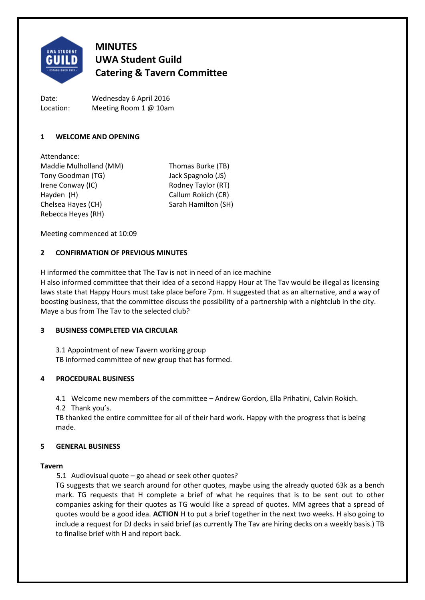

# **MINUTES UWA Student Guild Catering & Tavern Committee**

Date: Location: Wednesday 6 April 2016 Meeting Room 1 @ 10am

# **1 WELCOME AND OPENING**

Attendance: Maddie Mulholland (MM) Thomas Burke (TB) Tony Goodman (TG) Jack Spagnolo (JS) Irene Conway (IC) Rodney Taylor (RT) Hayden (H) Callum Rokich (CR) Chelsea Hayes (CH) Sarah Hamilton (SH) Rebecca Heyes (RH)

Meeting commenced at 10:09

# **2 CONFIRMATION OF PREVIOUS MINUTES**

H informed the committee that The Tav is not in need of an ice machine

H also informed committee that their idea of a second Happy Hour at The Tav would be illegal as licensing laws state that Happy Hours must take place before 7pm. H suggested that as an alternative, and a way of boosting business, that the committee discuss the possibility of a partnership with a nightclub in the city. Maye a bus from The Tav to the selected club?

# **3 BUSINESS COMPLETED VIA CIRCULAR**

3.1 Appointment of new Tavern working group TB informed committee of new group that has formed.

# **4 PROCEDURAL BUSINESS**

4.1 Welcome new members of the committee – Andrew Gordon, Ella Prihatini, Calvin Rokich.

4.2 Thank you's.

TB thanked the entire committee for all of their hard work. Happy with the progress that is being made.

# **5 GENERAL BUSINESS**

# **Tavern**

5.1 Audiovisual quote – go ahead or seek other quotes?

TG suggests that we search around for other quotes, maybe using the already quoted 63k as a bench mark. TG requests that H complete a brief of what he requires that is to be sent out to other companies asking for their quotes as TG would like a spread of quotes. MM agrees that a spread of quotes would be a good idea. **ACTION** H to put a brief together in the next two weeks. H also going to include a request for DJ decks in said brief (as currently The Tav are hiring decks on a weekly basis.) TB to finalise brief with H and report back.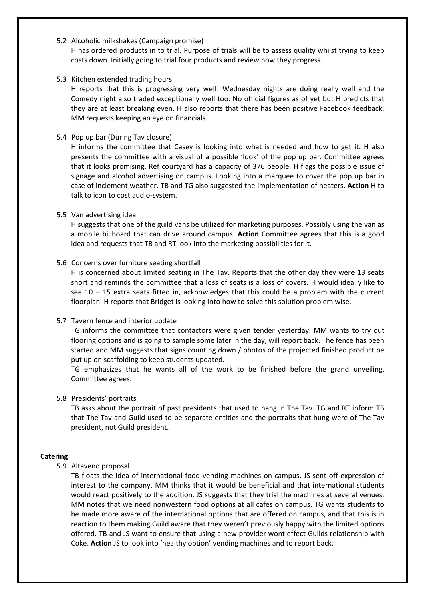# 5.2 Alcoholic milkshakes (Campaign promise)

H has ordered products in to trial. Purpose of trials will be to assess quality whilst trying to keep costs down. Initially going to trial four products and review how they progress.

### 5.3 Kitchen extended trading hours

H reports that this is progressing very well! Wednesday nights are doing really well and the Comedy night also traded exceptionally well too. No official figures as of yet but H predicts that they are at least breaking even. H also reports that there has been positive Facebook feedback. MM requests keeping an eye on financials.

### 5.4 Pop up bar (During Tav closure)

H informs the committee that Casey is looking into what is needed and how to get it. H also presents the committee with a visual of a possible 'look' of the pop up bar. Committee agrees that it looks promising. Ref courtyard has a capacity of 376 people. H flags the possible issue of signage and alcohol advertising on campus. Looking into a marquee to cover the pop up bar in case of inclement weather. TB and TG also suggested the implementation of heaters. **Action** H to talk to icon to cost audio-system.

#### 5.5 Van advertising idea

H suggests that one of the guild vans be utilized for marketing purposes. Possibly using the van as a mobile billboard that can drive around campus. **Action** Committee agrees that this is a good idea and requests that TB and RT look into the marketing possibilities for it.

#### 5.6 Concerns over furniture seating shortfall

H is concerned about limited seating in The Tav. Reports that the other day they were 13 seats short and reminds the committee that a loss of seats is a loss of covers. H would ideally like to see  $10 - 15$  extra seats fitted in, acknowledges that this could be a problem with the current floorplan. H reports that Bridget is looking into how to solve this solution problem wise.

# 5.7 Tavern fence and interior update

TG informs the committee that contactors were given tender yesterday. MM wants to try out flooring options and is going to sample some later in the day, will report back. The fence has been started and MM suggests that signs counting down / photos of the projected finished product be put up on scaffolding to keep students updated.

TG emphasizes that he wants all of the work to be finished before the grand unveiling. Committee agrees.

# 5.8 Presidents' portraits

TB asks about the portrait of past presidents that used to hang in The Tav. TG and RT inform TB that The Tav and Guild used to be separate entities and the portraits that hung were of The Tav president, not Guild president.

# **Catering**

5.9 Altavend proposal

TB floats the idea of international food vending machines on campus. JS sent off expression of interest to the company. MM thinks that it would be beneficial and that international students would react positively to the addition. JS suggests that they trial the machines at several venues. MM notes that we need nonwestern food options at all cafes on campus. TG wants students to be made more aware of the international options that are offered on campus, and that this is in reaction to them making Guild aware that they weren't previously happy with the limited options offered. TB and JS want to ensure that using a new provider wont effect Guilds relationship with Coke. **Action** JS to look into 'healthy option' vending machines and to report back.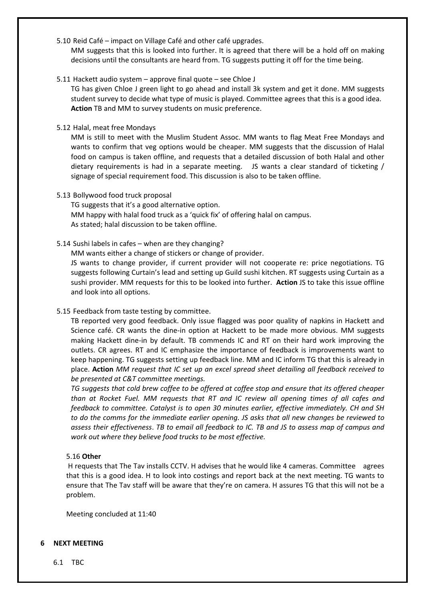5.10 Reid Café – impact on Village Café and other café upgrades.

MM suggests that this is looked into further. It is agreed that there will be a hold off on making decisions until the consultants are heard from. TG suggests putting it off for the time being.

5.11 Hackett audio system – approve final quote – see Chloe J

TG has given Chloe J green light to go ahead and install 3k system and get it done. MM suggests student survey to decide what type of music is played. Committee agrees that this is a good idea. **Action** TB and MM to survey students on music preference.

5.12 Halal, meat free Mondays

MM is still to meet with the Muslim Student Assoc. MM wants to flag Meat Free Mondays and wants to confirm that veg options would be cheaper. MM suggests that the discussion of Halal food on campus is taken offline, and requests that a detailed discussion of both Halal and other dietary requirements is had in a separate meeting. JS wants a clear standard of ticketing / signage of special requirement food. This discussion is also to be taken offline.

5.13 Bollywood food truck proposal

TG suggests that it's a good alternative option. MM happy with halal food truck as a 'quick fix' of offering halal on campus. As stated; halal discussion to be taken offline.

5.14 Sushi labels in cafes – when are they changing?

MM wants either a change of stickers or change of provider.

JS wants to change provider, if current provider will not cooperate re: price negotiations. TG suggests following Curtain's lead and setting up Guild sushi kitchen. RT suggests using Curtain as a sushi provider. MM requests for this to be looked into further. **Action** JS to take this issue offline and look into all options.

5.15 Feedback from taste testing by committee.

TB reported very good feedback. Only issue flagged was poor quality of napkins in Hackett and Science café. CR wants the dine-in option at Hackett to be made more obvious. MM suggests making Hackett dine-in by default. TB commends IC and RT on their hard work improving the outlets. CR agrees. RT and IC emphasize the importance of feedback is improvements want to keep happening. TG suggests setting up feedback line. MM and IC inform TG that this is already in place. **Action** *MM request that IC set up an excel spread sheet detailing all feedback received to be presented at C&T committee meetings.* 

*TG suggests that cold brew coffee to be offered at coffee stop and ensure that its offered cheaper than at Rocket Fuel. MM requests that RT and IC review all opening times of all cafes and feedback to committee. Catalyst is to open 30 minutes earlier, effective immediately. CH and SH to do the comms for the immediate earlier opening. JS asks that all new changes be reviewed to assess their effectiveness*. *TB to email all feedback to IC. TB and JS to assess map of campus and work out where they believe food trucks to be most effective.* 

# 5.16 **Other**

H requests that The Tav installs CCTV. H advises that he would like 4 cameras. Committee agrees that this is a good idea. H to look into costings and report back at the next meeting. TG wants to ensure that The Tav staff will be aware that they're on camera. H assures TG that this will not be a problem.

Meeting concluded at 11:40

# **6 NEXT MEETING**

6.1 TBC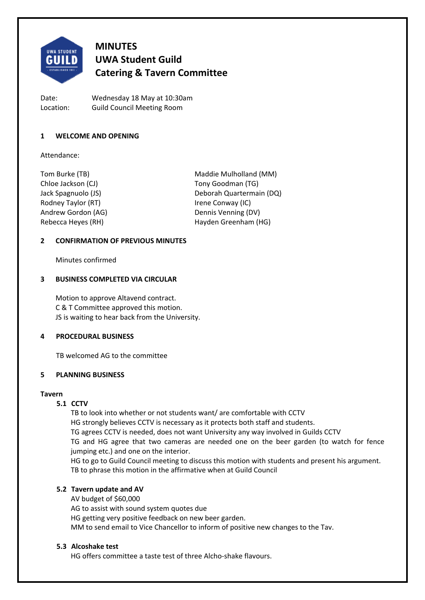

# **MINUTES UWA Student Guild Catering & Tavern Committee**

Date: Wednesday 18 May at 10:30am Location: Guild Council Meeting Room

# **1 WELCOME AND OPENING**

Attendance:

Chloe Jackson (CJ) Tony Goodman (TG) Rodney Taylor (RT) **IFELD** Rodney Taylor (RT) Andrew Gordon (AG) Dennis Venning (DV)

Tom Burke (TB) Maddie Mulholland (MM) Jack Spagnuolo (JS) Deborah Quartermain (DQ) Rebecca Heyes (RH) Hayden Greenham (HG)

# **2 CONFIRMATION OF PREVIOUS MINUTES**

Minutes confirmed

# **3 BUSINESS COMPLETED VIA CIRCULAR**

Motion to approve Altavend contract. C & T Committee approved this motion. JS is waiting to hear back from the University.

# **4 PROCEDURAL BUSINESS**

TB welcomed AG to the committee

# **5 PLANNING BUSINESS**

# **Tavern**

# **5.1 CCTV**

TB to look into whether or not students want/ are comfortable with CCTV HG strongly believes CCTV is necessary as it protects both staff and students. TG agrees CCTV is needed, does not want University any way involved in Guilds CCTV TG and HG agree that two cameras are needed one on the beer garden (to watch for fence jumping etc.) and one on the interior. HG to go to Guild Council meeting to discuss this motion with students and present his argument.

TB to phrase this motion in the affirmative when at Guild Council

# **5.2 Tavern update and AV**

AV budget of \$60,000

AG to assist with sound system quotes due HG getting very positive feedback on new beer garden. MM to send email to Vice Chancellor to inform of positive new changes to the Tav.

# **5.3 Alcoshake test**

HG offers committee a taste test of three Alcho‐shake flavours.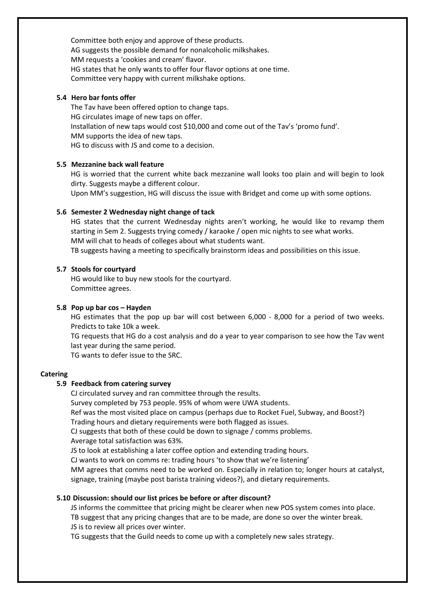Committee both enjoy and approve of these products. AG suggests the possible demand for nonalcoholic milkshakes. MM requests a 'cookies and cream' flavor. HG states that he only wants to offer four flavor options at one time. Committee very happy with current milkshake options.

### **5.4 Hero bar fonts offer**

The Tav have been offered option to change taps. HG circulates image of new taps on offer. Installation of new taps would cost \$10,000 and come out of the Tav's 'promo fund'. MM supports the idea of new taps. HG to discuss with JS and come to a decision.

#### **5.5 Mezzanine back wall feature**

HG is worried that the current white back mezzanine wall looks too plain and will begin to look dirty. Suggests maybe a different colour.

Upon MM's suggestion, HG will discuss the issue with Bridget and come up with some options.

# **5.6 Semester 2 Wednesday night change of tack**

HG states that the current Wednesday nights aren't working, he would like to revamp them starting in Sem 2. Suggests trying comedy / karaoke / open mic nights to see what works. MM will chat to heads of colleges about what students want.

TB suggests having a meeting to specifically brainstorm ideas and possibilities on this issue.

#### **5.7 Stools for courtyard**

HG would like to buy new stools for the courtyard. Committee agrees.

#### **5.8 Pop up bar cos – Hayden**

HG estimates that the pop up bar will cost between 6,000 - 8,000 for a period of two weeks. Predicts to take 10k a week.

TG requests that HG do a cost analysis and do a year to year comparison to see how the Tav went last year during the same period.

TG wants to defer issue to the SRC.

#### **Catering**

#### **5.9 Feedback from catering survey**

CJ circulated survey and ran committee through the results.

Survey completed by 753 people. 95% of whom were UWA students.

Ref was the most visited place on campus (perhaps due to Rocket Fuel, Subway, and Boost?) Trading hours and dietary requirements were both flagged as issues.

CJ suggests that both of these could be down to signage / comms problems.

Average total satisfaction was 63%.

JS to look at establishing a later coffee option and extending trading hours.

CJ wants to work on comms re: trading hours 'to show that we're listening'

MM agrees that comms need to be worked on. Especially in relation to; longer hours at catalyst, signage, training (maybe post barista training videos?), and dietary requirements.

#### **5.10 Discussion: should our list prices be before or after discount?**

JS informs the committee that pricing might be clearer when new POS system comes into place. TB suggest that any pricing changes that are to be made, are done so over the winter break. JS is to review all prices over winter.

TG suggests that the Guild needs to come up with a completely new sales strategy.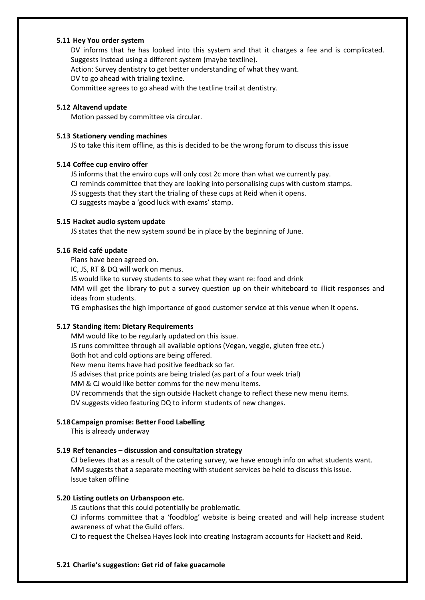### **5.11 Hey You order system**

DV informs that he has looked into this system and that it charges a fee and is complicated. Suggests instead using a different system (maybe textline).

Action: Survey dentistry to get better understanding of what they want.

DV to go ahead with trialing texline.

Committee agrees to go ahead with the textline trail at dentistry.

#### **5.12 Altavend update**

Motion passed by committee via circular.

#### **5.13 Stationery vending machines**

JS to take this item offline, as this is decided to be the wrong forum to discuss this issue

#### **5.14 Coffee cup enviro offer**

JS informs that the enviro cups will only cost 2c more than what we currently pay.

CJ reminds committee that they are looking into personalising cups with custom stamps.

JS suggests that they start the trialing of these cups at Reid when it opens.

CJ suggests maybe a 'good luck with exams' stamp.

#### **5.15 Hacket audio system update**

JS states that the new system sound be in place by the beginning of June.

# **5.16 Reid café update**

Plans have been agreed on.

IC, JS, RT & DQ will work on menus.

JS would like to survey students to see what they want re: food and drink

MM will get the library to put a survey question up on their whiteboard to illicit responses and ideas from students.

TG emphasises the high importance of good customer service at this venue when it opens.

# **5.17 Standing item: Dietary Requirements**

MM would like to be regularly updated on this issue. JS runs committee through all available options (Vegan, veggie, gluten free etc.) Both hot and cold options are being offered. New menu items have had positive feedback so far. JS advises that price points are being trialed (as part of a four week trial) MM & CJ would like better comms for the new menu items. DV recommends that the sign outside Hackett change to reflect these new menu items. DV suggests video featuring DQ to inform students of new changes.

# **5.18Campaign promise: Better Food Labelling**

This is already underway

# **5.19 Ref tenancies – discussion and consultation strategy**

CJ believes that as a result of the catering survey, we have enough info on what students want. MM suggests that a separate meeting with student services be held to discuss this issue. Issue taken offline

# **5.20 Listing outlets on Urbanspoon etc.**

JS cautions that this could potentially be problematic.

CJ informs committee that a 'foodblog' website is being created and will help increase student awareness of what the Guild offers.

CJ to request the Chelsea Hayes look into creating Instagram accounts for Hackett and Reid.

# **5.21 Charlie's suggestion: Get rid of fake guacamole**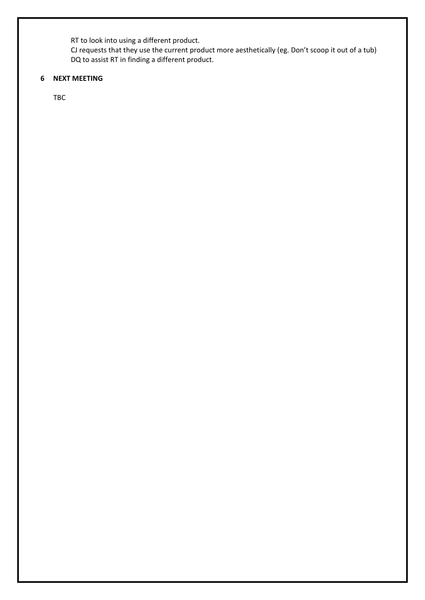RT to look into using a different product.

CJ requests that they use the current product more aesthetically (eg. Don't scoop it out of a tub) DQ to assist RT in finding a different product.

# **6 NEXT MEETING**

TBC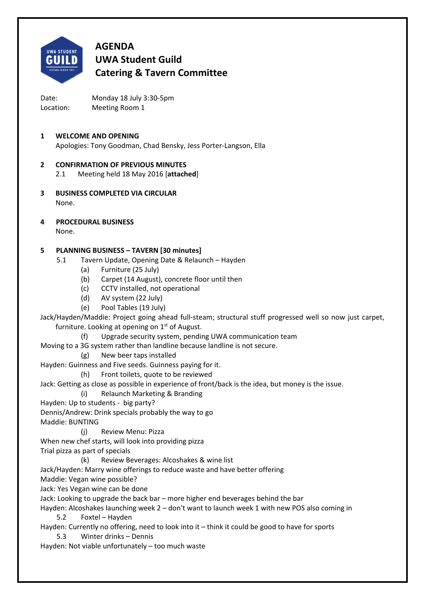

# **AGENDA UWA Student Guild Catering & Tavern Committee**

Date: Monday 18 July 3:30-5pm Location: Meeting Room 1

# **1 WELCOME AND OPENING** Apologies: Tony Goodman, Chad Bensky, Jess Porter‐Langson, Ella

# **2 CONFIRMATION OF PREVIOUS MINUTES**

- 2.1 Meeting held 18 May 2016 [**attached**]
- **3 BUSINESS COMPLETED VIA CIRCULAR** None.
- **4 PROCEDURAL BUSINESS**

# None.

# **5 PLANNING BUSINESS – TAVERN [30 minutes]**

- 5.1 Tavern Update, Opening Date & Relaunch Hayden
	- (a) Furniture (25 July)
	- (b) Carpet (14 August), concrete floor until then
	- (c) CCTV installed, not operational
	- (d) AV system (22 July)
	- (e) Pool Tables (19 July)

Jack/Hayden/Maddie: Project going ahead full‐steam; structural stuff progressed well so now just carpet, furniture. Looking at opening on  $1<sup>st</sup>$  of August.

- (f) Upgrade security system, pending UWA communication team
- Moving to a 3G system rather than landline because landline is not secure.
	- (g) New beer taps installed

Hayden: Guinness and Five seeds. Guinness paying for it.

(h) Front toilets, quote to be reviewed

Jack: Getting as close as possible in experience of front/back is the idea, but money is the issue.

- (i) Relaunch Marketing & Branding
- Hayden: Up to students big party?

Dennis/Andrew: Drink specials probably the way to go

- Maddie: BUNTING
	- (j) Review Menu: Pizza
- When new chef starts, will look into providing pizza
- Trial pizza as part of specials
	- (k) Review Beverages: Alcoshakes & wine list
- Jack/Hayden: Marry wine offerings to reduce waste and have better offering
- Maddie: Vegan wine possible?

Jack: Yes Vegan wine can be done

Jack: Looking to upgrade the back bar – more higher end beverages behind the bar

Hayden: Alcoshakes launching week 2 – don't want to launch week 1 with new POS also coming in 5.2 Foxtel – Hayden

- Hayden: Currently no offering, need to look into it think it could be good to have for sports
	- 5.3 Winter drinks Dennis
- Hayden: Not viable unfortunately too much waste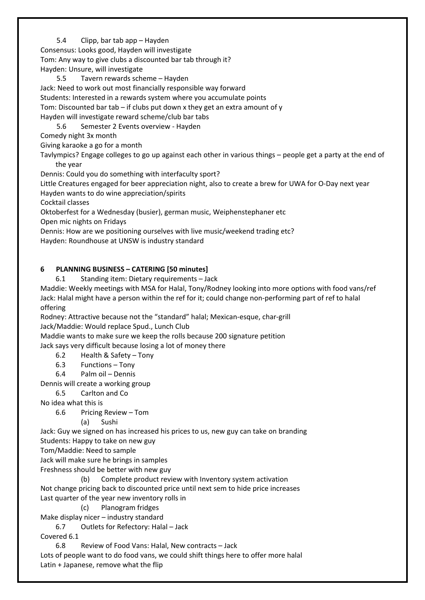5.4 Clipp, bar tab app – Hayden

Consensus: Looks good, Hayden will investigate Tom: Any way to give clubs a discounted bar tab through it?

Hayden: Unsure, will investigate

5.5 Tavern rewards scheme – Hayden Jack: Need to work out most financially responsible way forward Students: Interested in a rewards system where you accumulate points Tom: Discounted bar tab – if clubs put down x they get an extra amount of y Hayden will investigate reward scheme/club bar tabs 5.6 Semester 2 Events overview ‐ Hayden Comedy night 3x month Giving karaoke a go for a month

Tavlympics? Engage colleges to go up against each other in various things – people get a party at the end of the year

Dennis: Could you do something with interfaculty sport?

Little Creatures engaged for beer appreciation night, also to create a brew for UWA for O‐Day next year Hayden wants to do wine appreciation/spirits

Cocktail classes

Oktoberfest for a Wednesday (busier), german music, Weiphenstephaner etc

Open mic nights on Fridays

Dennis: How are we positioning ourselves with live music/weekend trading etc?

Hayden: Roundhouse at UNSW is industry standard

# **6 PLANNING BUSINESS – CATERING [50 minutes]**

6.1 Standing item: Dietary requirements – Jack

Maddie: Weekly meetings with MSA for Halal, Tony/Rodney looking into more options with food vans/ref Jack: Halal might have a person within the ref for it; could change non‐performing part of ref to halal offering

Rodney: Attractive because not the "standard" halal; Mexican‐esque, char‐grill

Jack/Maddie: Would replace Spud., Lunch Club

Maddie wants to make sure we keep the rolls because 200 signature petition

Jack says very difficult because losing a lot of money there

6.2 Health & Safety – Tony

6.3 Functions – Tony

6.4 Palm oil – Dennis

Dennis will create a working group

6.5 Carlton and Co

No idea what this is

6.6 Pricing Review – Tom

(a) Sushi

Jack: Guy we signed on has increased his prices to us, new guy can take on branding

Students: Happy to take on new guy

Tom/Maddie: Need to sample

Jack will make sure he brings in samples

Freshness should be better with new guy

(b) Complete product review with Inventory system activation

Not change pricing back to discounted price until next sem to hide price increases Last quarter of the year new inventory rolls in

(c) Planogram fridges

Make display nicer – industry standard

6.7 Outlets for Refectory: Halal – Jack

Covered 6.1

6.8 Review of Food Vans: Halal, New contracts – Jack

Lots of people want to do food vans, we could shift things here to offer more halal Latin + Japanese, remove what the flip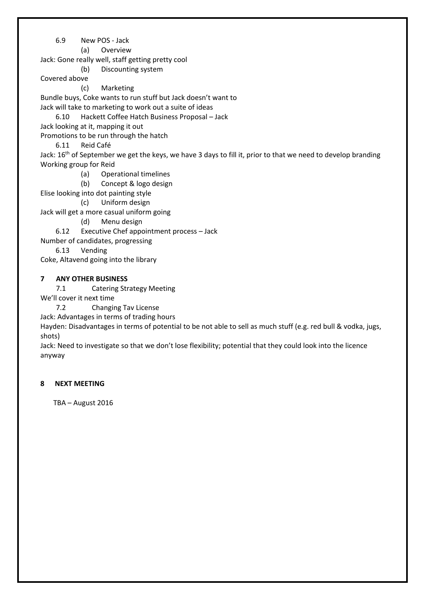6.9 New POS ‐ Jack

(a) Overview

Jack: Gone really well, staff getting pretty cool

(b) Discounting system

Covered above

(c) Marketing

Bundle buys, Coke wants to run stuff but Jack doesn't want to Jack will take to marketing to work out a suite of ideas

6.10 Hackett Coffee Hatch Business Proposal – Jack

Jack looking at it, mapping it out

Promotions to be run through the hatch

6.11 Reid Café

Jack: 16<sup>th</sup> of September we get the keys, we have 3 days to fill it, prior to that we need to develop branding Working group for Reid

- (a) Operational timelines
- (b) Concept & logo design

Elise looking into dot painting style

(c) Uniform design

Jack will get a more casual uniform going

(d) Menu design

6.12 Executive Chef appointment process – Jack

Number of candidates, progressing

6.13 Vending

Coke, Altavend going into the library

# **7 ANY OTHER BUSINESS**

7.1 Catering Strategy Meeting

We'll cover it next time

7.2 Changing Tav License

Jack: Advantages in terms of trading hours

Hayden: Disadvantages in terms of potential to be not able to sell as much stuff (e.g. red bull & vodka, jugs, shots)

Jack: Need to investigate so that we don't lose flexibility; potential that they could look into the licence anyway

# **8 NEXT MEETING**

TBA – August 2016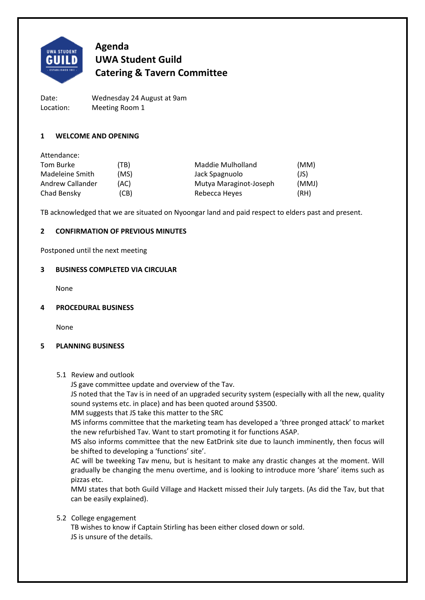

# **Agenda UWA Student Guild Catering & Tavern Committee**

Date: Wednesday 24 August at 9am Location: Meeting Room 1

# **1 WELCOME AND OPENING**

| (TB) | Maddie Mulholland      | (MM)  |
|------|------------------------|-------|
| (MS) | Jack Spagnuolo         | (JS)  |
| (AC) | Mutya Maraginot-Joseph | (MMJ) |
| (CB) | Rebecca Heyes          | (RH)  |
|      |                        |       |

TB acknowledged that we are situated on Nyoongar land and paid respect to elders past and present.

# **2 CONFIRMATION OF PREVIOUS MINUTES**

Postponed until the next meeting

# **3 BUSINESS COMPLETED VIA CIRCULAR**

None

# **4 PROCEDURAL BUSINESS**

None

# **5 PLANNING BUSINESS**

5.1 Review and outlook

JS gave committee update and overview of the Tav.

JS noted that the Tav is in need of an upgraded security system (especially with all the new, quality sound systems etc. in place) and has been quoted around \$3500.

MM suggests that JS take this matter to the SRC

MS informs committee that the marketing team has developed a 'three pronged attack' to market the new refurbished Tav. Want to start promoting it for functions ASAP.

MS also informs committee that the new EatDrink site due to launch imminently, then focus will be shifted to developing a 'functions' site'.

AC will be tweeking Tav menu, but is hesitant to make any drastic changes at the moment. Will gradually be changing the menu overtime, and is looking to introduce more 'share' items such as pizzas etc.

MMJ states that both Guild Village and Hackett missed their July targets. (As did the Tav, but that can be easily explained).

# 5.2 College engagement

TB wishes to know if Captain Stirling has been either closed down or sold. JS is unsure of the details.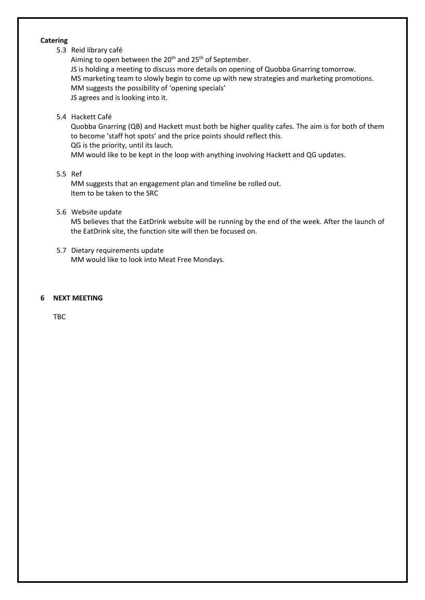#### **Catering**

# 5.3 Reid library café

Aiming to open between the 20<sup>th</sup> and 25<sup>th</sup> of September. JS is holding a meeting to discuss more details on opening of Quobba Gnarring tomorrow. MS marketing team to slowly begin to come up with new strategies and marketing promotions. MM suggests the possibility of 'opening specials' JS agrees and is looking into it.

# 5.4 Hackett Café

Quobba Gnarring (QB) and Hackett must both be higher quality cafes. The aim is for both of them to become 'staff hot spots' and the price points should reflect this. QG is the priority, until its lauch. MM would like to be kept in the loop with anything involving Hackett and QG updates.

# 5.5 Ref

MM suggests that an engagement plan and timeline be rolled out. Item to be taken to the SRC

# 5.6 Website update

MS believes that the EatDrink website will be running by the end of the week. After the launch of the EatDrink site, the function site will then be focused on.

5.7 Dietary requirements update MM would like to look into Meat Free Mondays.

# **6 NEXT MEETING**

TBC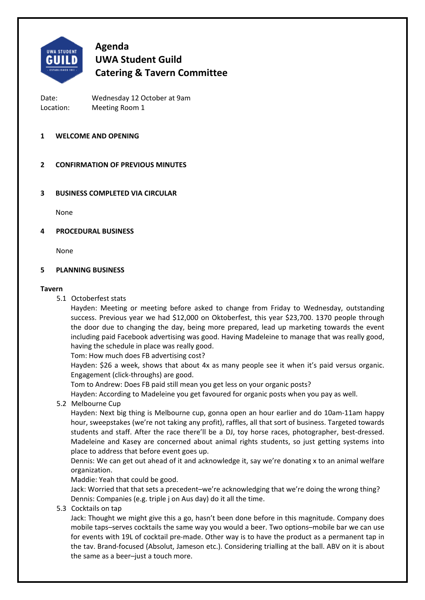

# **Agenda UWA Student Guild Catering & Tavern Committee**

Date: Wednesday 12 October at 9am Location: Meeting Room 1

# **1 WELCOME AND OPENING**

# **2 CONFIRMATION OF PREVIOUS MINUTES**

# **3 BUSINESS COMPLETED VIA CIRCULAR**

None

# **4 PROCEDURAL BUSINESS**

None

# **5 PLANNING BUSINESS**

#### **Tavern**

5.1 Octoberfest stats

Hayden: Meeting or meeting before asked to change from Friday to Wednesday, outstanding success. Previous year we had \$12,000 on Oktoberfest, this year \$23,700. 1370 people through the door due to changing the day, being more prepared, lead up marketing towards the event including paid Facebook advertising was good. Having Madeleine to manage that was really good, having the schedule in place was really good.

Tom: How much does FB advertising cost?

Hayden: \$26 a week, shows that about 4x as many people see it when it's paid versus organic. Engagement (click‐throughs) are good.

Tom to Andrew: Does FB paid still mean you get less on your organic posts?

Hayden: According to Madeleine you get favoured for organic posts when you pay as well.

5.2 Melbourne Cup

Hayden: Next big thing is Melbourne cup, gonna open an hour earlier and do 10am‐11am happy hour, sweepstakes (we're not taking any profit), raffles, all that sort of business. Targeted towards students and staff. After the race there'll be a DJ, toy horse races, photographer, best-dressed. Madeleine and Kasey are concerned about animal rights students, so just getting systems into place to address that before event goes up.

Dennis: We can get out ahead of it and acknowledge it, say we're donating x to an animal welfare organization.

Maddie: Yeah that could be good.

Jack: Worried that that sets a precedent–we're acknowledging that we're doing the wrong thing? Dennis: Companies (e.g. triple j on Aus day) do it all the time.

5.3 Cocktails on tap

Jack: Thought we might give this a go, hasn't been done before in this magnitude. Company does mobile taps–serves cocktails the same way you would a beer. Two options–mobile bar we can use for events with 19L of cocktail pre-made. Other way is to have the product as a permanent tap in the tav. Brand‐focused (Absolut, Jameson etc.). Considering trialling at the ball. ABV on it is about the same as a beer–just a touch more.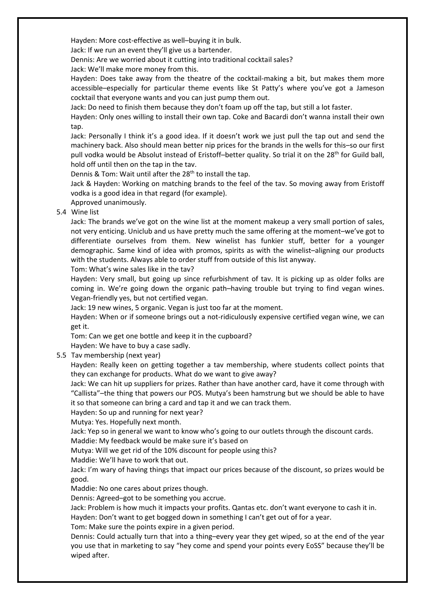Hayden: More cost‐effective as well–buying it in bulk.

Jack: If we run an event they'll give us a bartender.

Dennis: Are we worried about it cutting into traditional cocktail sales?

Jack: We'll make more money from this.

Hayden: Does take away from the theatre of the cocktail-making a bit, but makes them more accessible–especially for particular theme events like St Patty's where you've got a Jameson cocktail that everyone wants and you can just pump them out.

Jack: Do need to finish them because they don't foam up off the tap, but still a lot faster.

Hayden: Only ones willing to install their own tap. Coke and Bacardi don't wanna install their own tap.

Jack: Personally I think it's a good idea. If it doesn't work we just pull the tap out and send the machinery back. Also should mean better nip prices for the brands in the wells for this–so our first pull vodka would be Absolut instead of Eristoff-better quality. So trial it on the 28<sup>th</sup> for Guild ball, hold off until then on the tap in the tav.

Dennis & Tom: Wait until after the 28<sup>th</sup> to install the tap.

Jack & Hayden: Working on matching brands to the feel of the tav. So moving away from Eristoff vodka is a good idea in that regard (for example).

Approved unanimously.

# 5.4 Wine list

Jack: The brands we've got on the wine list at the moment makeup a very small portion of sales, not very enticing. Uniclub and us have pretty much the same offering at the moment–we've got to differentiate ourselves from them. New winelist has funkier stuff, better for a younger demographic. Same kind of idea with promos, spirits as with the winelist–aligning our products with the students. Always able to order stuff from outside of this list anyway.

Tom: What's wine sales like in the tav?

Hayden: Very small, but going up since refurbishment of tav. It is picking up as older folks are coming in. We're going down the organic path–having trouble but trying to find vegan wines. Vegan‐friendly yes, but not certified vegan.

Jack: 19 new wines, 5 organic. Vegan is just too far at the moment.

Hayden: When or if someone brings out a not-ridiculously expensive certified vegan wine, we can get it.

Tom: Can we get one bottle and keep it in the cupboard?

Hayden: We have to buy a case sadly.

5.5 Tav membership (next year)

Hayden: Really keen on getting together a tav membership, where students collect points that they can exchange for products. What do we want to give away?

Jack: We can hit up suppliers for prizes. Rather than have another card, have it come through with "Callista"–the thing that powers our POS. Mutya's been hamstrung but we should be able to have it so that someone can bring a card and tap it and we can track them.

Hayden: So up and running for next year?

Mutya: Yes. Hopefully next month.

Jack: Yep so in general we want to know who's going to our outlets through the discount cards. Maddie: My feedback would be make sure it's based on

Mutya: Will we get rid of the 10% discount for people using this?

Maddie: We'll have to work that out.

Jack: I'm wary of having things that impact our prices because of the discount, so prizes would be good.

Maddie: No one cares about prizes though.

Dennis: Agreed–got to be something you accrue.

Jack: Problem is how much it impacts your profits. Qantas etc. don't want everyone to cash it in.

Hayden: Don't want to get bogged down in something I can't get out of for a year.

Tom: Make sure the points expire in a given period.

Dennis: Could actually turn that into a thing–every year they get wiped, so at the end of the year you use that in marketing to say "hey come and spend your points every EoSS" because they'll be wiped after.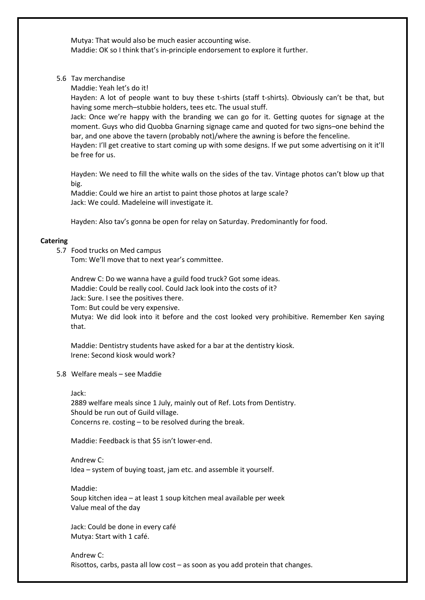Mutya: That would also be much easier accounting wise. Maddie: OK so I think that's in‐principle endorsement to explore it further.

5.6 Tav merchandise

Maddie: Yeah let's do it!

Hayden: A lot of people want to buy these t-shirts (staff t-shirts). Obviously can't be that, but having some merch–stubbie holders, tees etc. The usual stuff.

Jack: Once we're happy with the branding we can go for it. Getting quotes for signage at the moment. Guys who did Quobba Gnarning signage came and quoted for two signs–one behind the bar, and one above the tavern (probably not)/where the awning is before the fenceline.

Hayden: I'll get creative to start coming up with some designs. If we put some advertising on it it'll be free for us.

Hayden: We need to fill the white walls on the sides of the tav. Vintage photos can't blow up that big.

Maddie: Could we hire an artist to paint those photos at large scale? Jack: We could. Madeleine will investigate it.

Hayden: Also tav's gonna be open for relay on Saturday. Predominantly for food.

# **Catering**

5.7 Food trucks on Med campus

Tom: We'll move that to next year's committee.

Andrew C: Do we wanna have a guild food truck? Got some ideas. Maddie: Could be really cool. Could Jack look into the costs of it? Jack: Sure. I see the positives there. Tom: But could be very expensive.

Mutya: We did look into it before and the cost looked very prohibitive. Remember Ken saying that.

Maddie: Dentistry students have asked for a bar at the dentistry kiosk. Irene: Second kiosk would work?

5.8 Welfare meals – see Maddie

Jack:

2889 welfare meals since 1 July, mainly out of Ref. Lots from Dentistry. Should be run out of Guild village. Concerns re. costing – to be resolved during the break.

Maddie: Feedback is that \$5 isn't lower‐end.

Andrew C: Idea – system of buying toast, jam etc. and assemble it yourself.

Maddie: Soup kitchen idea – at least 1 soup kitchen meal available per week Value meal of the day

Jack: Could be done in every café Mutya: Start with 1 café.

Andrew C: Risottos, carbs, pasta all low cost – as soon as you add protein that changes.